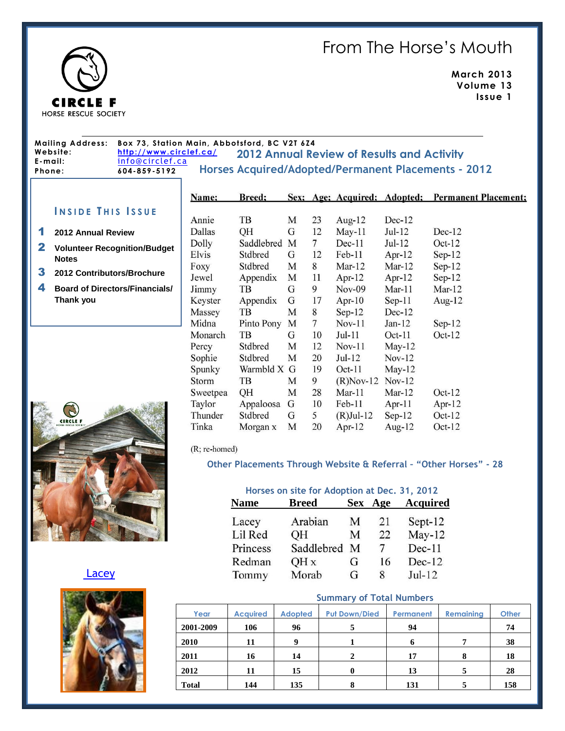# From The Horse's Mouth



**March 2013 Volume 13 Issue 1**

#### **2012 Annual Review of Results and Activity Mailing Address: Box 73, Station Main, Abbotsford, BC V2T 6Z4 Webs ite: <http://www.circlef.ca/> E-mail:** [info@circlef.ca](mailto:info@circlef.ca) **Phone: 604-859-5192 Horses Acquired/Adopted/Permanent Placements - 2012**

## **I N S I D E T H I S I S S U E**

#### 1 **2012 Annual Review**

- 2 **Volunteer Recognition/Budget Notes**
- 3 **2012 Contributors/Brochure**
- 4 **Board of Directors/Financials/ Thank you**

| B<br><b>CIRCLE F</b><br>HORSE RESCUE SOCIETY |  |  |
|----------------------------------------------|--|--|
|                                              |  |  |
|                                              |  |  |
|                                              |  |  |

[Lacey](http://www.circlef.ca/lacey.htm)



| Name:    | <b>Breed:</b> |   |                | Sex; Age; Acquired; Adopted; |           | <b>Permanent Placement:</b> |
|----------|---------------|---|----------------|------------------------------|-----------|-----------------------------|
| Annie    | TB            | M | 23             | Aug- $12$                    | $Dec-12$  |                             |
| Dallas   | QH            | G | 12             | $May-11$                     | $Jul-12$  | $Dec-12$                    |
| Dolly    | Saddlebred    | M | $\overline{7}$ | $Dec-11$                     | $Jul-12$  | $Oct-12$                    |
| Elvis    | Stdbred       | G | 12             | $Feb-11$                     | Apr- $12$ | $Sep-12$                    |
| Foxy     | Stdbred       | M | 8              | $Mar-12$                     | Mar-12    | $Sep-12$                    |
| Jewel    | Appendix      | M | 11             | Apr- $12$                    | Apr- $12$ | $Sep-12$                    |
| Jimmy    | TВ            | G | 9              | $Nov-09$                     | $Mar-11$  | $Mar-12$                    |
| Keyster  | Appendix      | G | 17             | Apr- $10$                    | $Sep-11$  | Aug-12                      |
| Massey   | TB            | M | 8              | $Sep-12$                     | $Dec-12$  |                             |
| Midna    | Pinto Pony    | M | $\overline{7}$ | $Nov-11$                     | $Jan-12$  | $Sep-12$                    |
| Monarch  | TВ            | G | 10             | Jul-11                       | $Oct-11$  | $Oct-12$                    |
| Percy    | Stdbred       | M | 12             | $Nov-11$                     | May-12    |                             |
| Sophie   | Stdbred       | M | 20             | $Jul-12$                     | $Nov-12$  |                             |
| Spunky   | Warmbld X G   |   | 19             | $Oct-11$                     | May-12    |                             |
| Storm    | TВ            | М | 9              | $(R)$ Nov-12                 | $Nov-12$  |                             |
| Sweetpea | QH            | M | 28             | $Mar-11$                     | Mar- $12$ | $Oct-12$                    |
| Taylor   | Appaloosa     | G | 10             | $Feb-11$                     | Apr- $11$ | Apr- $12$                   |
| Thunder  | Stdbred       | G | 5              | $(R)$ Jul-12                 | $Sep-12$  | $Oct-12$                    |
| Tinka    | Morgan x      | M | 20             | Apr- $12$                    | Aug- $12$ | $Oct-12$                    |

#### (R; re-homed)

### **Other Placements Through Website & Referral – "Other Horses" - 28**

| Horses on site for Adoption at Dec. 31, 2012 |              |            |     |                 |  |
|----------------------------------------------|--------------|------------|-----|-----------------|--|
| <b>Name</b>                                  | <b>Breed</b> | <b>Sex</b> | Age | <b>Acquired</b> |  |
| Lacey                                        | Arabian      | M          | 21  | Sept-12         |  |
| Lil Red                                      | OН           | М          | 22  | $May-12$        |  |
| Princess                                     | Saddlebred   | M          | 7   | $Dec-11$        |  |
| Redman                                       | QH x         | G          | 16  | $Dec-12$        |  |
| Tommy                                        | Morab        | G          | 8   | $Jul-12$        |  |

#### **Summary of Total Numbers**

| Year         | <b>Acquired</b> | <b>Adopted</b> | <b>Put Down/Died</b> | Permanent | <b>Remaining</b> | <b>Other</b> |
|--------------|-----------------|----------------|----------------------|-----------|------------------|--------------|
| 2001-2009    | 106             | 96             | 5                    | 94        |                  | 74           |
| 2010         | 11              | 9              |                      |           | 7                | 38           |
| 2011         | 16              | 14             | 2                    | 17        | 8                | 18           |
| 2012         | 11              | 15             | 0                    | 13        | 5                | 28           |
| <b>Total</b> | 144             | 135            | 8                    | 131       |                  | 158          |
|              |                 |                |                      |           |                  |              |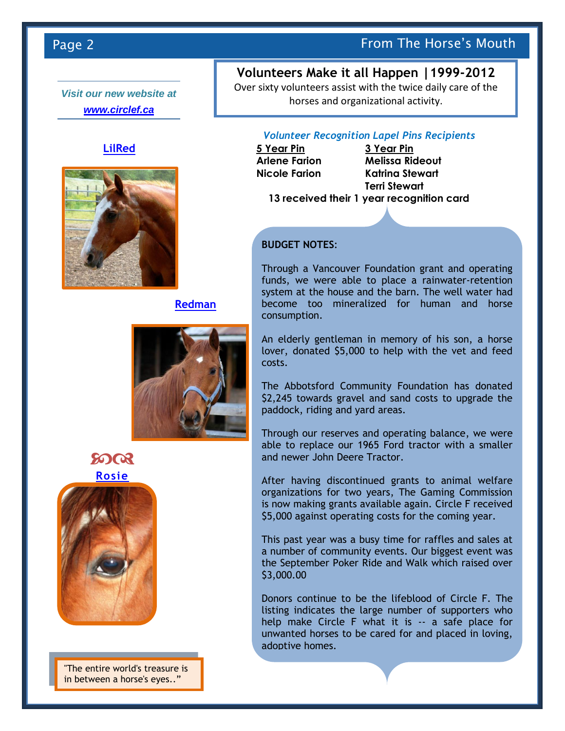*Visit our new website at [www.circlef.ca](http://www.circlef.ca/)*

## **[LilRed](http://www.circlef.ca/spunky.htm)**



## **[Redman](http://www.circlef.ca/princess.htm)**





"The entire world's treasure is in between a horse's eyes.."

# Page 2 **From The Horse's Mouth** Page 2

# **Volunteers Make it all Happen |1999-2012**

Over sixty volunteers assist with the twice daily care of the horses and organizational activity.

## *Volunteer Recognition Lapel Pins Recipients*

**5 Year Pin 3 Year Pin**

**Arlene Farion Melissa Rideout Nicole Farion Katrina Stewart Terri Stewart**

**13 received their 1 year recognition card**

## **BUDGET NOTES**:

Through a Vancouver Foundation grant and operating funds, we were able to place a rainwater-retention system at the house and the barn. The well water had become too mineralized for human and horse consumption.

An elderly gentleman in memory of his son, a horse lover, donated \$5,000 to help with the vet and feed costs.

The Abbotsford Community Foundation has donated \$2,245 towards gravel and sand costs to upgrade the paddock, riding and yard areas.

Through our reserves and operating balance, we were able to replace our 1965 Ford tractor with a smaller and newer John Deere Tractor.

After having discontinued grants to animal welfare organizations for two years, The Gaming Commission is now making grants available again. Circle F received \$5,000 against operating costs for the coming year.

This past year was a busy time for raffles and sales at a number of community events. Our biggest event was the September Poker Ride and Walk which raised over \$3,000.00

Donors continue to be the lifeblood of Circle F. The listing indicates the large number of supporters who help make Circle F what it is -- a safe place for unwanted horses to be cared for and placed in loving, adoptive homes.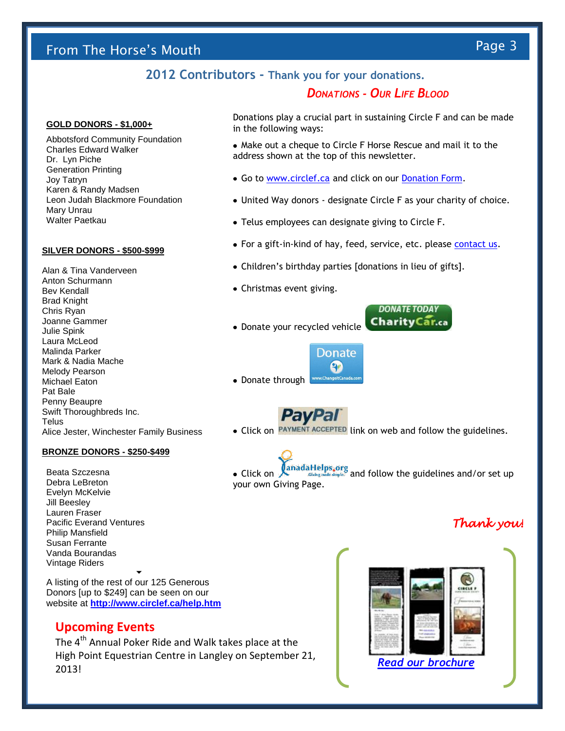# From The Horse's Mouth Page 3

# **2012 Contributors - Thank you for your donations.**

## *DONATIONS - OUR LIFE BLOOD*

#### **GOLD DONORS - \$1,000+**

Abbotsford Community Foundation Charles Edward Walker Dr. Lyn Piche Generation Printing Joy Tatryn Karen & Randy Madsen Leon Judah Blackmore Foundation Mary Unrau Walter Paetkau

#### **SILVER DONORS - \$500-\$999**

Alan & Tina Vanderveen Anton Schurmann Bev Kendall Brad Knight Chris Ryan Joanne Gammer Julie Spink Laura McLeod Malinda Parker Mark & Nadia Mache Melody Pearson Michael Eaton Pat Bale Penny Beaupre Swift Thoroughbreds Inc. **Telus** Alice Jester, Winchester Family Business

### **BRONZE DONORS - \$250-\$499**

Beata Szczesna Debra LeBreton Evelyn McKelvie Jill Beesley Lauren Fraser Pacific Everand Ventures Philip Mansfield Susan Ferrante Vanda Bourandas Vintage Riders

A listing of the rest of our 125 Generous Donors [up to \$249] can be seen on our website at **<http://www.circlef.ca/help.htm>**

 $\blacktriangledown$ 

## **Upcoming Events**

The 4<sup>th</sup> Annual Poker Ride and Walk takes place at the High Point Equestrian Centre in Langley on September 21, 2013!



**DONATE TODAY** 

• Click on  $\int_{\text{Ciblog model simple}}$  and follow the guidelines and/or set up your own Giving Page.

## *Thank you!*



Donations play a crucial part in sustaining Circle F and can be made in the following ways:

- Make out a cheque to Circle F Horse Rescue and mail it to the address shown at the top of this newsletter.
- Go to [www.circlef.ca](http://www.circlef.ca/) and click on our [Donation Form.](http://www.circlef.ca/Circle%20F%20Donation%20Form.pdf)
- United Way donors designate Circle F as your charity of choice.
- Telus employees can designate giving to Circle F.
- For a gift-in-kind of hay, feed, service, etc. please [contact us.](mailto:info@circlef.ca)
- Children's birthday parties [donations in lieu of gifts].
- Christmas event giving.
- **CharityCar.ca** • Donate your recycled vehicle

**Donate** e. ww.ChangeltCanada.co